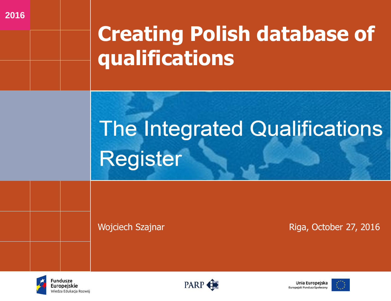## **Creating Polish database of qualifications**

# **The Integrated Qualifications Register**

Wojciech Szajnar **Music School Contract Contract Contract Contract Contract Contract Contract Contract Contract Contract Contract Contract Contract Contract Contract Contract Contract Contract Contract Contract Contract Co** 



**2016**





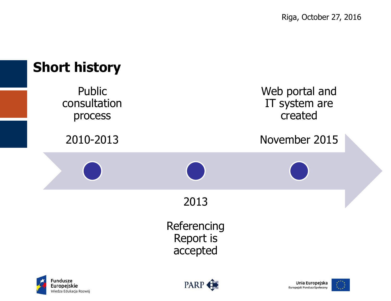

Wiedza Edukacja Rozwój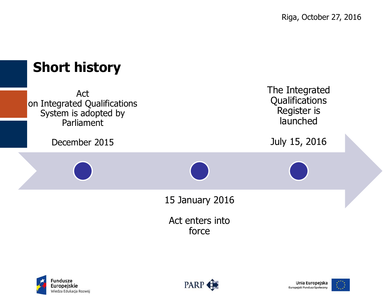







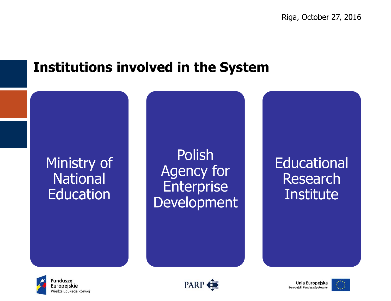#### **Institutions involved in the System**

#### Ministry of **National** Education

Polish Agency for **Enterprise Development** 

**Educational** Research **Institute** 







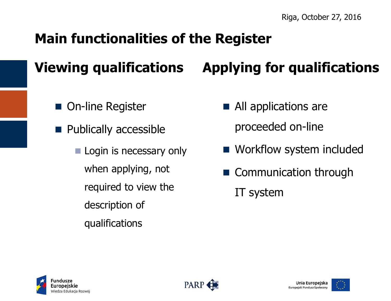### **Main functionalities of the Register**

### **Viewing qualifications Applying for qualifications**

- On-line Register
- **Publically accessible** 
	- **Login is necessary only** when applying, not required to view the description of qualifications
- All applications are proceeded on-line
- **Norkflow system included**
- Communication through IT system





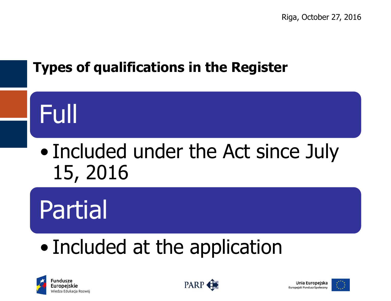### **Types of qualifications in the Register**

# Full

### • Included under the Act since July 15, 2016

# Partial

### • Included at the application







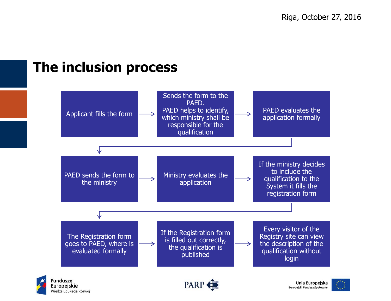#### **The inclusion process**

Europeiskie

Wiedza Edukacja Rozwój



**PARP** 



Unia Europeiska

Europejski Fundusz Społeczny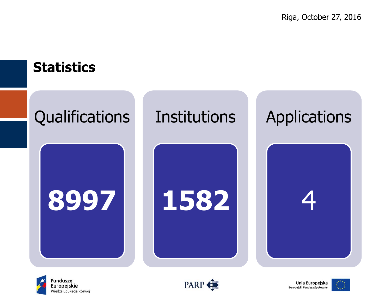